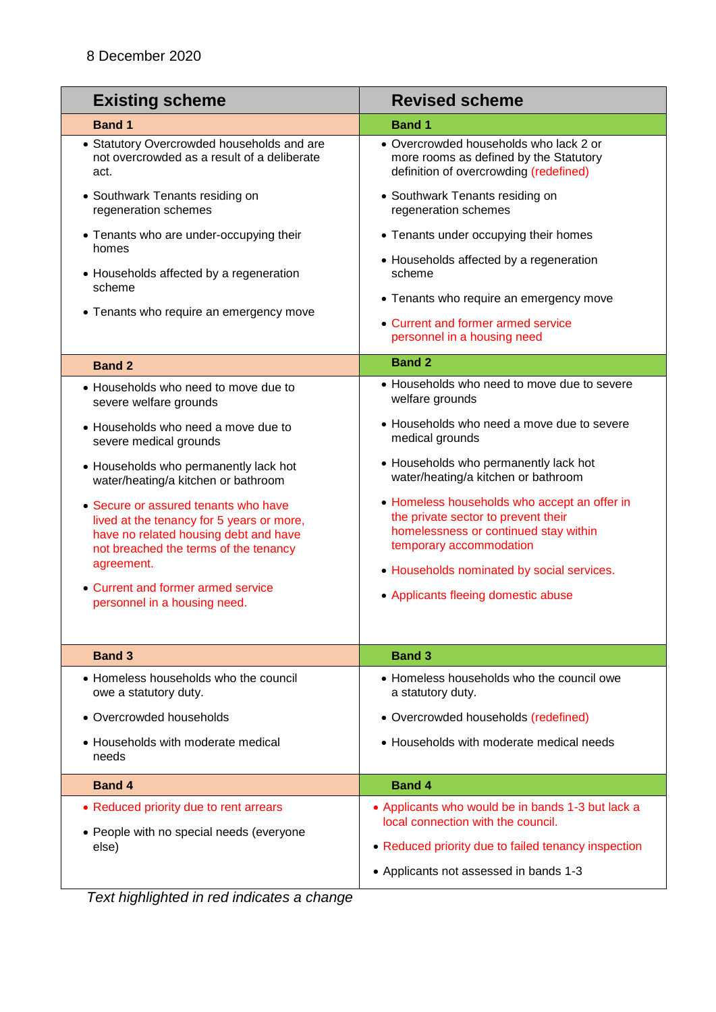| <b>Existing scheme</b>                                                                                                                                                            | <b>Revised scheme</b>                                                                                                                                   |
|-----------------------------------------------------------------------------------------------------------------------------------------------------------------------------------|---------------------------------------------------------------------------------------------------------------------------------------------------------|
| <b>Band 1</b>                                                                                                                                                                     | <b>Band 1</b>                                                                                                                                           |
| • Statutory Overcrowded households and are<br>not overcrowded as a result of a deliberate<br>act.                                                                                 | • Overcrowded households who lack 2 or<br>more rooms as defined by the Statutory<br>definition of overcrowding (redefined)                              |
| • Southwark Tenants residing on<br>regeneration schemes                                                                                                                           | • Southwark Tenants residing on<br>regeneration schemes                                                                                                 |
| • Tenants who are under-occupying their<br>homes                                                                                                                                  | • Tenants under occupying their homes                                                                                                                   |
| • Households affected by a regeneration<br>scheme                                                                                                                                 | • Households affected by a regeneration<br>scheme                                                                                                       |
| • Tenants who require an emergency move                                                                                                                                           | • Tenants who require an emergency move                                                                                                                 |
|                                                                                                                                                                                   | • Current and former armed service<br>personnel in a housing need                                                                                       |
| <b>Band 2</b>                                                                                                                                                                     | <b>Band 2</b>                                                                                                                                           |
| • Households who need to move due to<br>severe welfare grounds                                                                                                                    | • Households who need to move due to severe<br>welfare grounds                                                                                          |
| • Households who need a move due to<br>severe medical grounds                                                                                                                     | • Households who need a move due to severe<br>medical grounds                                                                                           |
| • Households who permanently lack hot<br>water/heating/a kitchen or bathroom                                                                                                      | • Households who permanently lack hot<br>water/heating/a kitchen or bathroom                                                                            |
| • Secure or assured tenants who have<br>lived at the tenancy for 5 years or more,<br>have no related housing debt and have<br>not breached the terms of the tenancy<br>agreement. | • Homeless households who accept an offer in<br>the private sector to prevent their<br>homelessness or continued stay within<br>temporary accommodation |
| • Current and former armed service                                                                                                                                                | • Households nominated by social services.                                                                                                              |
| personnel in a housing need.                                                                                                                                                      | • Applicants fleeing domestic abuse                                                                                                                     |
|                                                                                                                                                                                   |                                                                                                                                                         |
| <b>Band 3</b>                                                                                                                                                                     | <b>Band 3</b>                                                                                                                                           |
| • Homeless households who the council<br>owe a statutory duty.                                                                                                                    | • Homeless households who the council owe<br>a statutory duty.                                                                                          |
| • Overcrowded households                                                                                                                                                          | • Overcrowded households (redefined)                                                                                                                    |
| • Households with moderate medical<br>needs                                                                                                                                       | • Households with moderate medical needs                                                                                                                |
| <b>Band 4</b>                                                                                                                                                                     | <b>Band 4</b>                                                                                                                                           |
| • Reduced priority due to rent arrears                                                                                                                                            | • Applicants who would be in bands 1-3 but lack a                                                                                                       |
| • People with no special needs (everyone                                                                                                                                          | local connection with the council.                                                                                                                      |
| else)                                                                                                                                                                             | • Reduced priority due to failed tenancy inspection                                                                                                     |
|                                                                                                                                                                                   | • Applicants not assessed in bands 1-3                                                                                                                  |

*Text highlighted in red indicates a change*